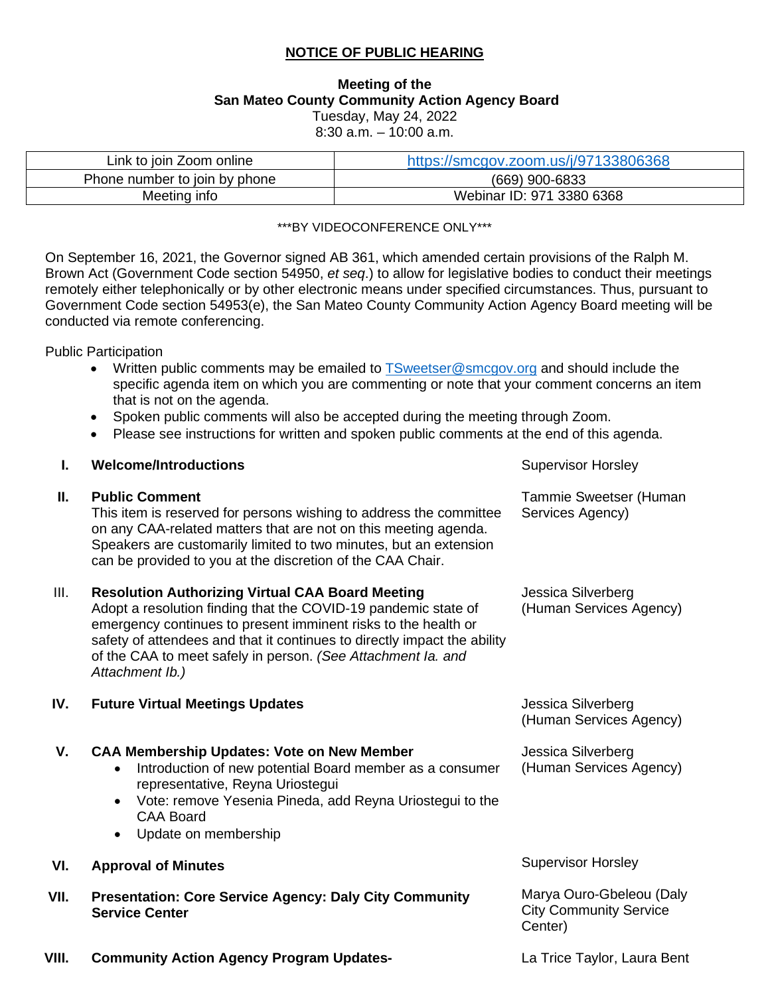### **NOTICE OF PUBLIC HEARING**

#### **Meeting of the San Mateo County Community Action Agency Board**  Tuesday, May 24, 2022 8:30 a.m. – 10:00 a.m.

| Link to join Zoom online      | https://smcgov.zoom.us/j/97133806368 |
|-------------------------------|--------------------------------------|
| Phone number to join by phone | (669) 900-6833                       |
| Meeting info                  | Webinar ID: 971 3380 6368            |

#### \*\*\*BY VIDEOCONFERENCE ONLY\*\*\*

On September 16, 2021, the Governor signed AB 361, which amended certain provisions of the Ralph M. Brown Act (Government Code section 54950, *et seq*.) to allow for legislative bodies to conduct their meetings remotely either telephonically or by other electronic means under specified circumstances. Thus, pursuant to Government Code section 54953(e), the San Mateo County Community Action Agency Board meeting will be conducted via remote conferencing.

Public Participation

- Written public comments may be emailed to [TSweetser@smcgov.org](mailto:TSweetser@smcgov.org) and should include the specific agenda item on which you are commenting or note that your comment concerns an item that is not on the agenda.
- Spoken public comments will also be accepted during the meeting through Zoom.
- Please see instructions for written and spoken public comments at the end of this agenda.

### **I. Welcome/Introductions Supervisor Horsley Supervisor Horsley**

#### **II. Public Comment**

This item is reserved for persons wishing to address the committee on any CAA-related matters that are not on this meeting agenda. Speakers are customarily limited to two minutes, but an extension can be provided to you at the discretion of the CAA Chair.

### III. **Resolution Authorizing Virtual CAA Board Meeting**

Adopt a resolution finding that the COVID-19 pandemic state of emergency continues to present imminent risks to the health or safety of attendees and that it continues to directly impact the ability of the CAA to meet safely in person. *(See Attachment Ia. and Attachment Ib.)* 

#### **IV. Future Virtual Meetings Updates**

## **V. CAA Membership Updates: Vote on New Member**

- Introduction of new potential Board member as a consumer representative, Reyna Uriostegui
- Vote: remove Yesenia Pineda, add Reyna Uriostegui to the CAA Board
- Update on membership

## **VI. Approval of Minutes**

**VII. Presentation: Core Service Agency: Daly City Community Service Center**

Jessica Silverberg (Human Services Agency)

Jessica Silverberg (Human Services Agency)

### Supervisor Horsley

Marya Ouro-Gbeleou (Daly City Community Service Center)

**VIII. Community Action Agency Program Updates-** La Trice Taylor, Laura Bent

Jessica Silverberg

Tammie Sweetser (Human Services Agency)

(Human Services Agency)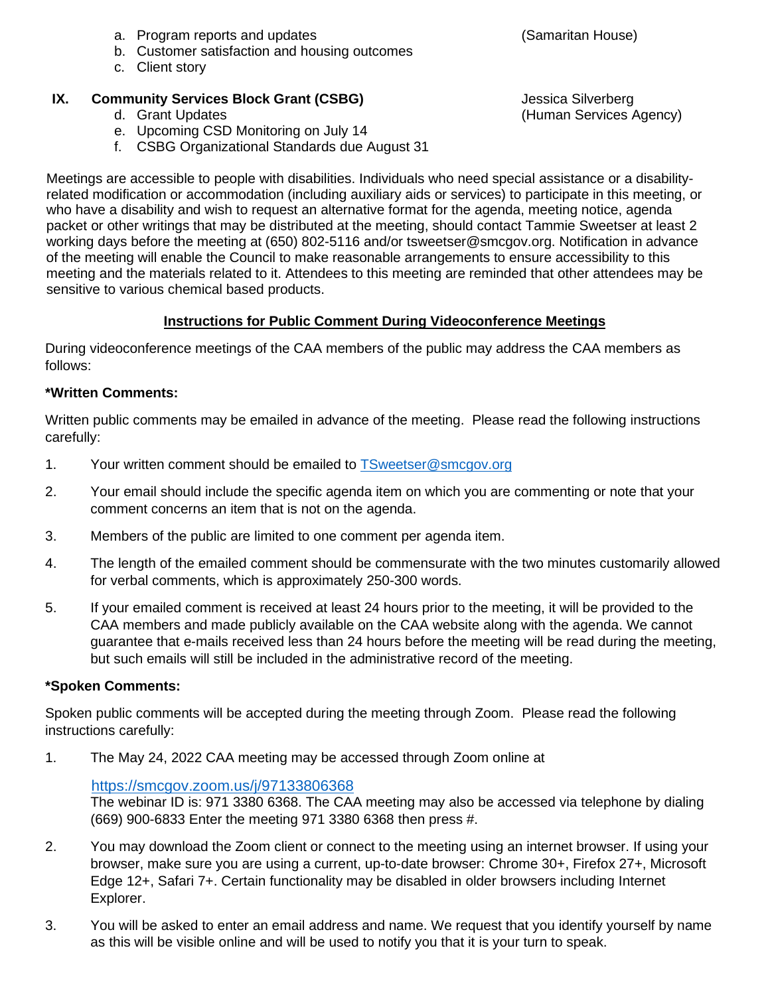- a. Program reports and updates
- b. Customer satisfaction and housing outcomes
- c. Client story

# **IX. Community Services Block Grant (CSBG)**

- d. Grant Updates
- e. Upcoming CSD Monitoring on July 14
- f. CSBG Organizational Standards due August 31

Meetings are accessible to people with disabilities. Individuals who need special assistance or a disabilityrelated modification or accommodation (including auxiliary aids or services) to participate in this meeting, or who have a disability and wish to request an alternative format for the agenda, meeting notice, agenda packet or other writings that may be distributed at the meeting, should contact Tammie Sweetser at least 2 working days before the meeting at (650) 802-5116 and/or tsweetser@smcgov.org. Notification in advance of the meeting will enable the Council to make reasonable arrangements to ensure accessibility to this meeting and the materials related to it. Attendees to this meeting are reminded that other attendees may be sensitive to various chemical based products.

## **Instructions for Public Comment During Videoconference Meetings**

During videoconference meetings of the CAA members of the public may address the CAA members as follows:

## **\*Written Comments:**

Written public comments may be emailed in advance of the meeting. Please read the following instructions carefully:

- 1. Your written comment should be emailed to [TSweetser@smcgov.org](mailto:TSweetser@smcgov.org)
- 2. Your email should include the specific agenda item on which you are commenting or note that your comment concerns an item that is not on the agenda.
- 3. Members of the public are limited to one comment per agenda item.
- 4. The length of the emailed comment should be commensurate with the two minutes customarily allowed for verbal comments, which is approximately 250-300 words.
- 5. If your emailed comment is received at least 24 hours prior to the meeting, it will be provided to the CAA members and made publicly available on the CAA website along with the agenda. We cannot guarantee that e-mails received less than 24 hours before the meeting will be read during the meeting, but such emails will still be included in the administrative record of the meeting.

## **\*Spoken Comments:**

Spoken public comments will be accepted during the meeting through Zoom. Please read the following instructions carefully:

1. The May 24, 2022 CAA meeting may be accessed through Zoom online at

## <https://smcgov.zoom.us/j/97133806368>

The webinar ID is: 971 3380 6368. The CAA meeting may also be accessed via telephone by dialing (669) 900-6833 Enter the meeting 971 3380 6368 then press #.

- 2. You may download the Zoom client or connect to the meeting using an internet browser. If using your browser, make sure you are using a current, up-to-date browser: Chrome 30+, Firefox 27+, Microsoft Edge 12+, Safari 7+. Certain functionality may be disabled in older browsers including Internet Explorer.
- 3. You will be asked to enter an email address and name. We request that you identify yourself by name as this will be visible online and will be used to notify you that it is your turn to speak.

Jessica Silverberg (Human Services Agency)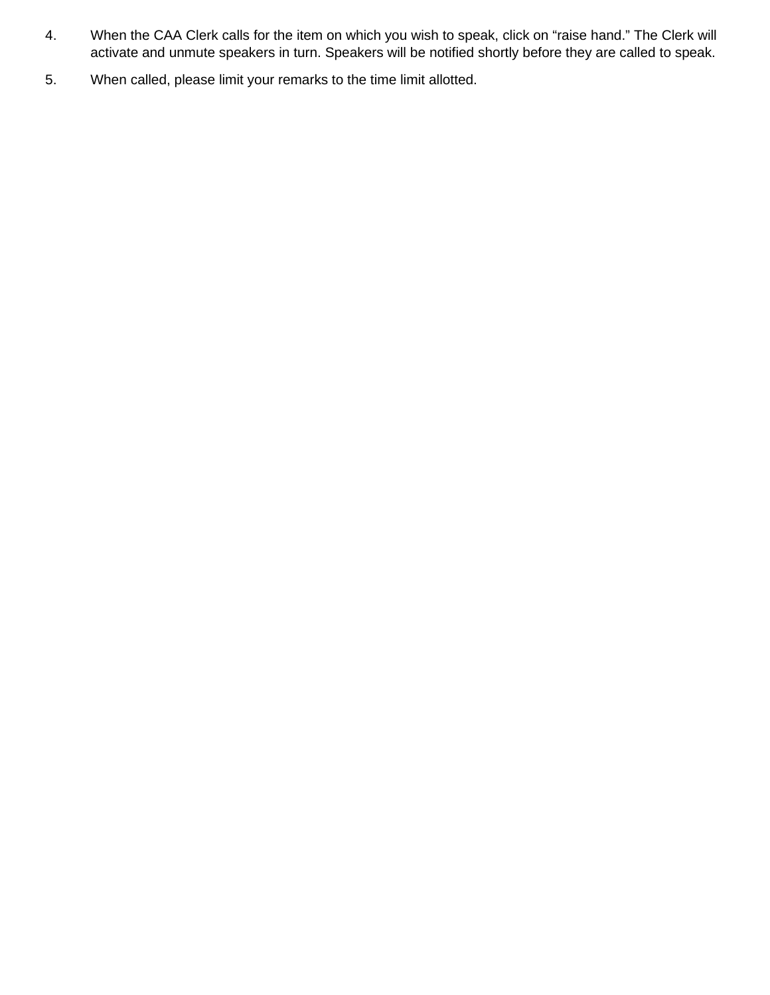- 4. When the CAA Clerk calls for the item on which you wish to speak, click on "raise hand." The Clerk will activate and unmute speakers in turn. Speakers will be notified shortly before they are called to speak.
- 5. When called, please limit your remarks to the time limit allotted.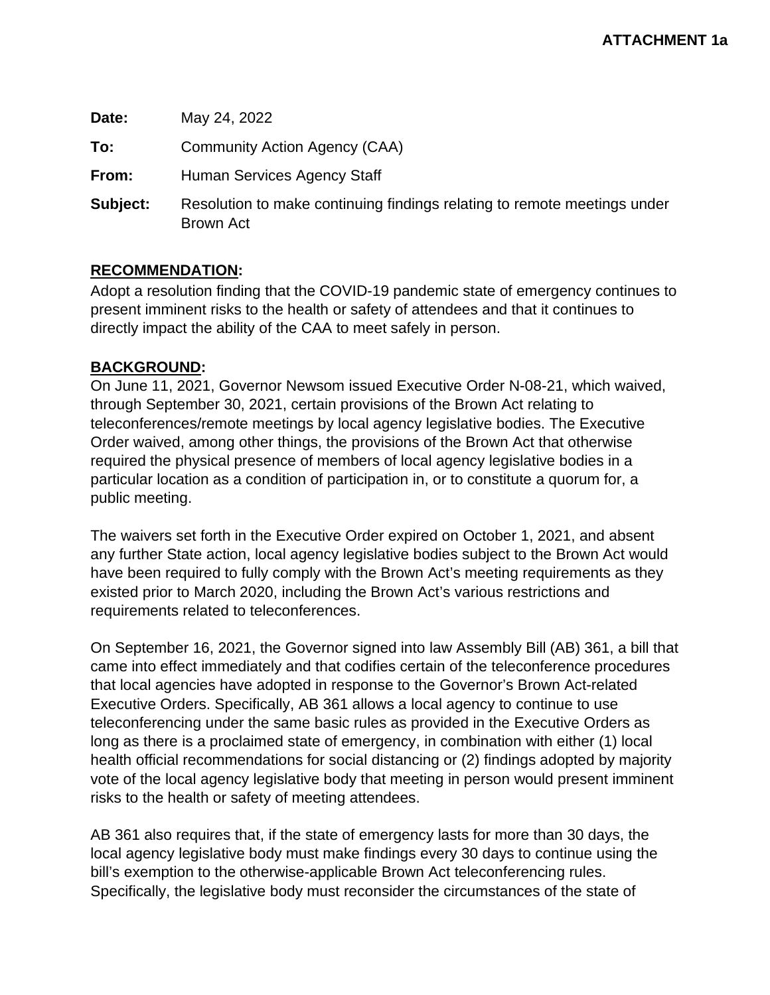**Date:** May 24, 2022 **To:** Community Action Agency (CAA) **From:** Human Services Agency Staff **Subject:** Resolution to make continuing findings relating to remote meetings under Brown Act

### **RECOMMENDATION:**

Adopt a resolution finding that the COVID-19 pandemic state of emergency continues to present imminent risks to the health or safety of attendees and that it continues to directly impact the ability of the CAA to meet safely in person.

### **BACKGROUND:**

On June 11, 2021, Governor Newsom issued Executive Order N-08-21, which waived, through September 30, 2021, certain provisions of the Brown Act relating to teleconferences/remote meetings by local agency legislative bodies. The Executive Order waived, among other things, the provisions of the Brown Act that otherwise required the physical presence of members of local agency legislative bodies in a particular location as a condition of participation in, or to constitute a quorum for, a public meeting.

The waivers set forth in the Executive Order expired on October 1, 2021, and absent any further State action, local agency legislative bodies subject to the Brown Act would have been required to fully comply with the Brown Act's meeting requirements as they existed prior to March 2020, including the Brown Act's various restrictions and requirements related to teleconferences.

On September 16, 2021, the Governor signed into law Assembly Bill (AB) 361, a bill that came into effect immediately and that codifies certain of the teleconference procedures that local agencies have adopted in response to the Governor's Brown Act-related Executive Orders. Specifically, AB 361 allows a local agency to continue to use teleconferencing under the same basic rules as provided in the Executive Orders as long as there is a proclaimed state of emergency, in combination with either (1) local health official recommendations for social distancing or (2) findings adopted by majority vote of the local agency legislative body that meeting in person would present imminent risks to the health or safety of meeting attendees.

AB 361 also requires that, if the state of emergency lasts for more than 30 days, the local agency legislative body must make findings every 30 days to continue using the bill's exemption to the otherwise-applicable Brown Act teleconferencing rules. Specifically, the legislative body must reconsider the circumstances of the state of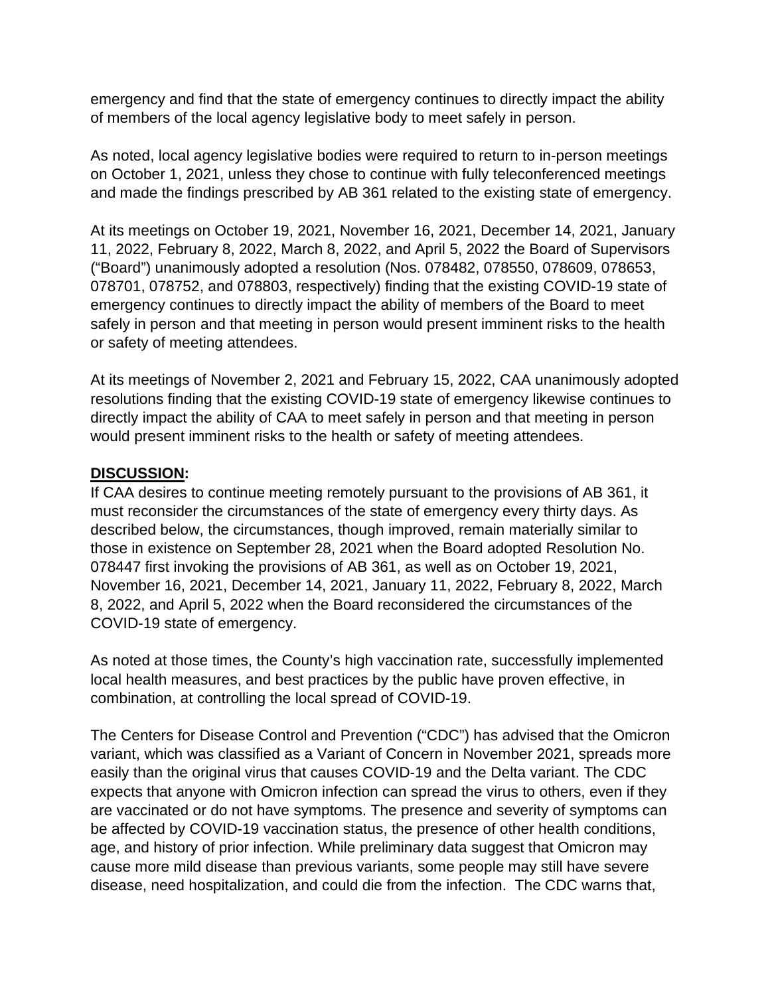emergency and find that the state of emergency continues to directly impact the ability of members of the local agency legislative body to meet safely in person.

As noted, local agency legislative bodies were required to return to in-person meetings on October 1, 2021, unless they chose to continue with fully teleconferenced meetings and made the findings prescribed by AB 361 related to the existing state of emergency.

At its meetings on October 19, 2021, November 16, 2021, December 14, 2021, January 11, 2022, February 8, 2022, March 8, 2022, and April 5, 2022 the Board of Supervisors ("Board") unanimously adopted a resolution (Nos. 078482, 078550, 078609, 078653, 078701, 078752, and 078803, respectively) finding that the existing COVID-19 state of emergency continues to directly impact the ability of members of the Board to meet safely in person and that meeting in person would present imminent risks to the health or safety of meeting attendees.

At its meetings of November 2, 2021 and February 15, 2022, CAA unanimously adopted resolutions finding that the existing COVID-19 state of emergency likewise continues to directly impact the ability of CAA to meet safely in person and that meeting in person would present imminent risks to the health or safety of meeting attendees.

## **DISCUSSION:**

If CAA desires to continue meeting remotely pursuant to the provisions of AB 361, it must reconsider the circumstances of the state of emergency every thirty days. As described below, the circumstances, though improved, remain materially similar to those in existence on September 28, 2021 when the Board adopted Resolution No. 078447 first invoking the provisions of AB 361, as well as on October 19, 2021, November 16, 2021, December 14, 2021, January 11, 2022, February 8, 2022, March 8, 2022, and April 5, 2022 when the Board reconsidered the circumstances of the COVID-19 state of emergency.

As noted at those times, the County's high vaccination rate, successfully implemented local health measures, and best practices by the public have proven effective, in combination, at controlling the local spread of COVID-19.

The Centers for Disease Control and Prevention ("CDC") has advised that the Omicron variant, which was classified as a Variant of Concern in November 2021, spreads more easily than the original virus that causes COVID-19 and the Delta variant. The CDC expects that anyone with Omicron infection can spread the virus to others, even if they are vaccinated or do not have symptoms. The presence and severity of symptoms can be affected by COVID-19 vaccination status, the presence of other health conditions, age, and history of prior infection. While preliminary data suggest that Omicron may cause more mild disease than previous variants, some people may still have severe disease, need hospitalization, and could die from the infection. The CDC warns that,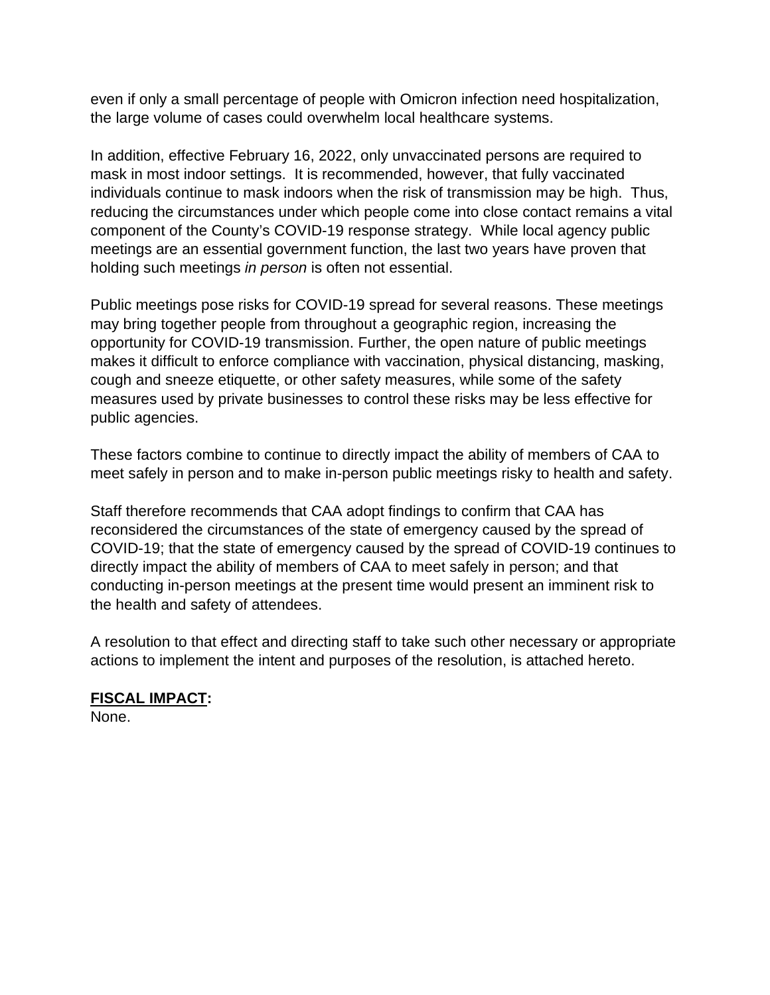even if only a small percentage of people with Omicron infection need hospitalization, the large volume of cases could overwhelm local healthcare systems.

In addition, effective February 16, 2022, only unvaccinated persons are required to mask in most indoor settings. It is recommended, however, that fully vaccinated individuals continue to mask indoors when the risk of transmission may be high. Thus, reducing the circumstances under which people come into close contact remains a vital component of the County's COVID-19 response strategy. While local agency public meetings are an essential government function, the last two years have proven that holding such meetings *in person* is often not essential.

Public meetings pose risks for COVID-19 spread for several reasons. These meetings may bring together people from throughout a geographic region, increasing the opportunity for COVID-19 transmission. Further, the open nature of public meetings makes it difficult to enforce compliance with vaccination, physical distancing, masking, cough and sneeze etiquette, or other safety measures, while some of the safety measures used by private businesses to control these risks may be less effective for public agencies.

These factors combine to continue to directly impact the ability of members of CAA to meet safely in person and to make in-person public meetings risky to health and safety.

Staff therefore recommends that CAA adopt findings to confirm that CAA has reconsidered the circumstances of the state of emergency caused by the spread of COVID-19; that the state of emergency caused by the spread of COVID-19 continues to directly impact the ability of members of CAA to meet safely in person; and that conducting in-person meetings at the present time would present an imminent risk to the health and safety of attendees.

A resolution to that effect and directing staff to take such other necessary or appropriate actions to implement the intent and purposes of the resolution, is attached hereto.

# **FISCAL IMPACT:**

None.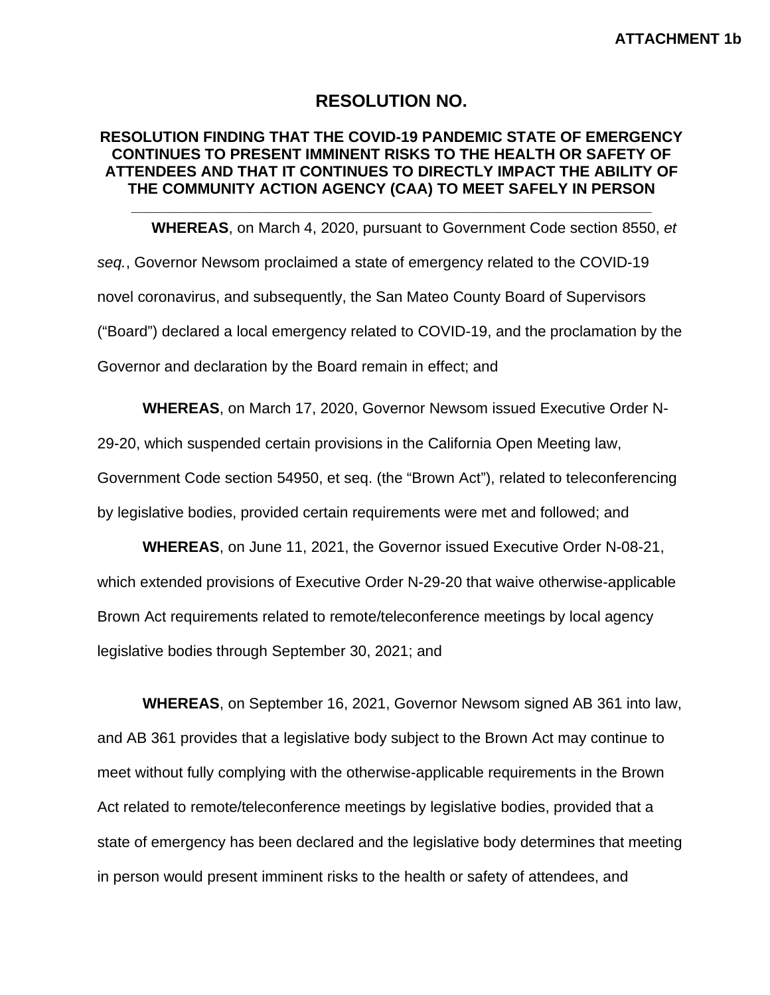## **RESOLUTION NO.**

### **RESOLUTION FINDING THAT THE COVID-19 PANDEMIC STATE OF EMERGENCY CONTINUES TO PRESENT IMMINENT RISKS TO THE HEALTH OR SAFETY OF ATTENDEES AND THAT IT CONTINUES TO DIRECTLY IMPACT THE ABILITY OF THE COMMUNITY ACTION AGENCY (CAA) TO MEET SAFELY IN PERSON**

**\_\_\_\_\_\_\_\_\_\_\_\_\_\_\_\_\_\_\_\_\_\_\_\_\_\_\_\_\_\_\_\_\_\_\_\_\_\_\_\_\_\_\_\_\_\_\_\_\_\_\_\_\_\_\_\_\_\_\_\_\_\_**

**WHEREAS**, on March 4, 2020, pursuant to Government Code section 8550, *et seq.*, Governor Newsom proclaimed a state of emergency related to the COVID-19 novel coronavirus, and subsequently, the San Mateo County Board of Supervisors ("Board") declared a local emergency related to COVID-19, and the proclamation by the Governor and declaration by the Board remain in effect; and

**WHEREAS**, on March 17, 2020, Governor Newsom issued Executive Order N-

29-20, which suspended certain provisions in the California Open Meeting law,

Government Code section 54950, et seq. (the "Brown Act"), related to teleconferencing by legislative bodies, provided certain requirements were met and followed; and

**WHEREAS**, on June 11, 2021, the Governor issued Executive Order N-08-21, which extended provisions of Executive Order N-29-20 that waive otherwise-applicable Brown Act requirements related to remote/teleconference meetings by local agency legislative bodies through September 30, 2021; and

**WHEREAS**, on September 16, 2021, Governor Newsom signed AB 361 into law, and AB 361 provides that a legislative body subject to the Brown Act may continue to meet without fully complying with the otherwise-applicable requirements in the Brown Act related to remote/teleconference meetings by legislative bodies, provided that a state of emergency has been declared and the legislative body determines that meeting in person would present imminent risks to the health or safety of attendees, and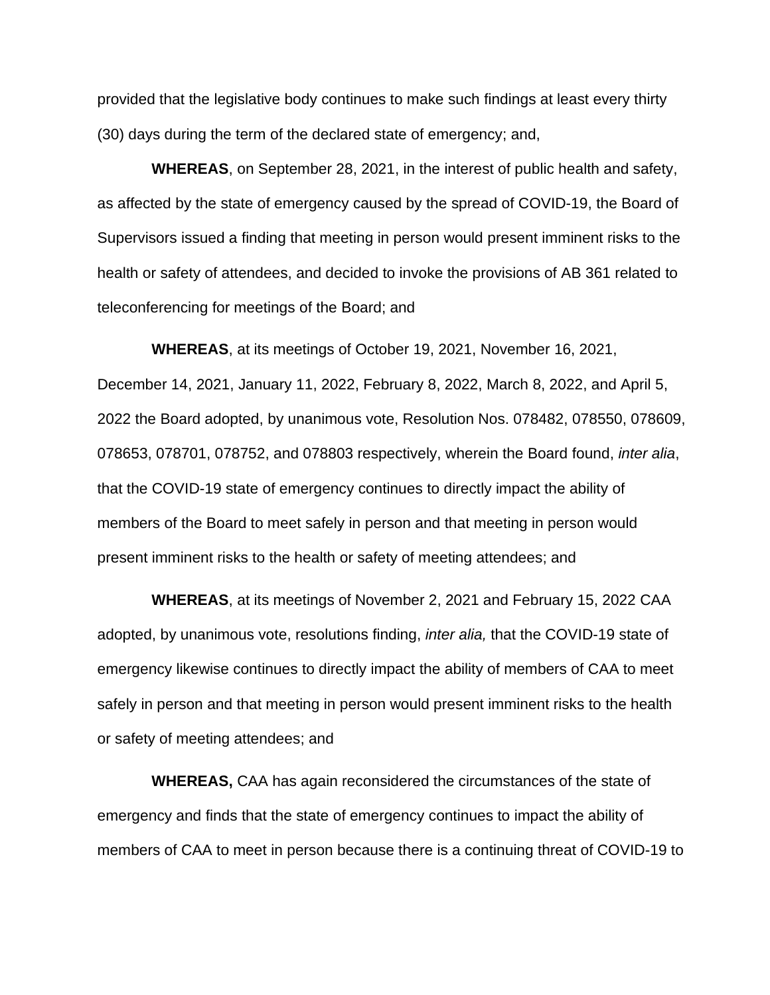provided that the legislative body continues to make such findings at least every thirty (30) days during the term of the declared state of emergency; and,

**WHEREAS**, on September 28, 2021, in the interest of public health and safety, as affected by the state of emergency caused by the spread of COVID-19, the Board of Supervisors issued a finding that meeting in person would present imminent risks to the health or safety of attendees, and decided to invoke the provisions of AB 361 related to teleconferencing for meetings of the Board; and

**WHEREAS**, at its meetings of October 19, 2021, November 16, 2021, December 14, 2021, January 11, 2022, February 8, 2022, March 8, 2022, and April 5, 2022 the Board adopted, by unanimous vote, Resolution Nos. 078482, 078550, 078609, 078653, 078701, 078752, and 078803 respectively, wherein the Board found, *inter alia*, that the COVID-19 state of emergency continues to directly impact the ability of members of the Board to meet safely in person and that meeting in person would present imminent risks to the health or safety of meeting attendees; and

**WHEREAS**, at its meetings of November 2, 2021 and February 15, 2022 CAA adopted, by unanimous vote, resolutions finding, *inter alia,* that the COVID-19 state of emergency likewise continues to directly impact the ability of members of CAA to meet safely in person and that meeting in person would present imminent risks to the health or safety of meeting attendees; and

**WHEREAS,** CAA has again reconsidered the circumstances of the state of emergency and finds that the state of emergency continues to impact the ability of members of CAA to meet in person because there is a continuing threat of COVID-19 to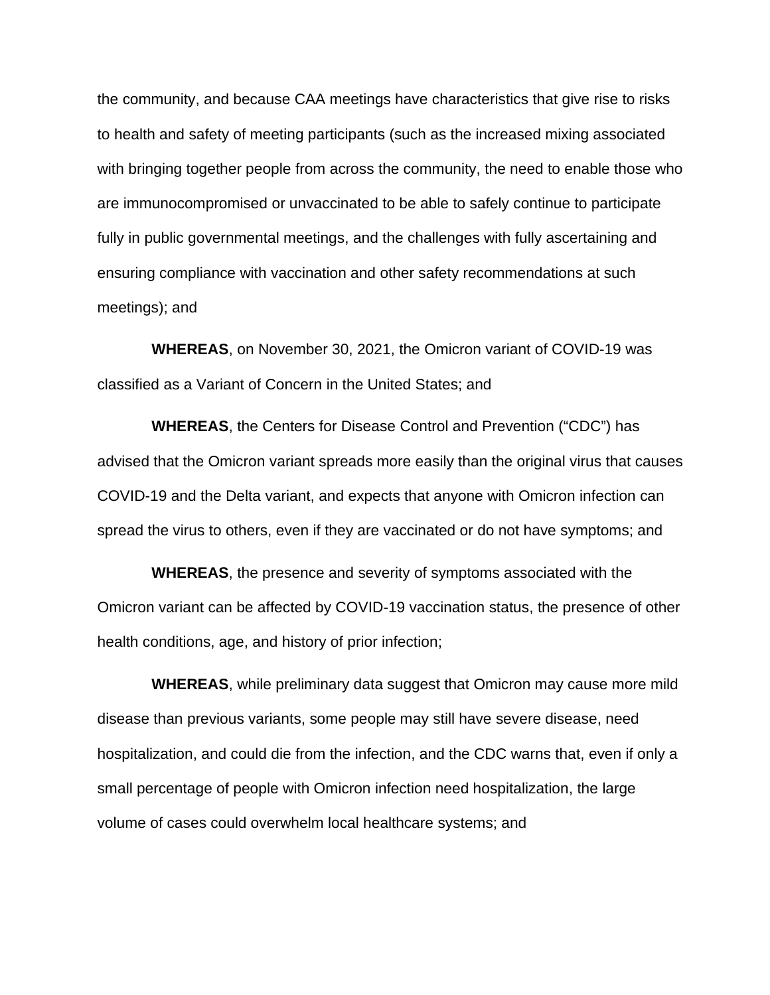the community, and because CAA meetings have characteristics that give rise to risks to health and safety of meeting participants (such as the increased mixing associated with bringing together people from across the community, the need to enable those who are immunocompromised or unvaccinated to be able to safely continue to participate fully in public governmental meetings, and the challenges with fully ascertaining and ensuring compliance with vaccination and other safety recommendations at such meetings); and

**WHEREAS**, on November 30, 2021, the Omicron variant of COVID-19 was classified as a Variant of Concern in the United States; and

**WHEREAS**, the Centers for Disease Control and Prevention ("CDC") has advised that the Omicron variant spreads more easily than the original virus that causes COVID-19 and the Delta variant, and expects that anyone with Omicron infection can spread the virus to others, even if they are vaccinated or do not have symptoms; and

**WHEREAS**, the presence and severity of symptoms associated with the Omicron variant can be affected by COVID-19 vaccination status, the presence of other health conditions, age, and history of prior infection;

**WHEREAS**, while preliminary data suggest that Omicron may cause more mild disease than previous variants, some people may still have severe disease, need hospitalization, and could die from the infection, and the CDC warns that, even if only a small percentage of people with Omicron infection need hospitalization, the large volume of cases could overwhelm local healthcare systems; and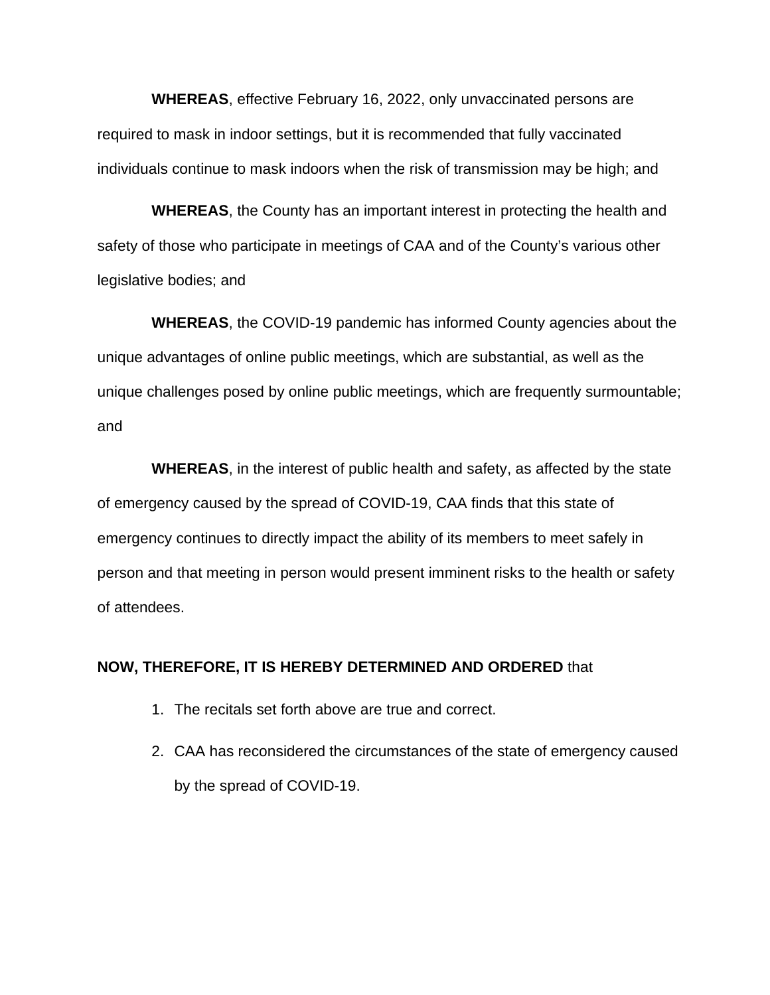**WHEREAS**, effective February 16, 2022, only unvaccinated persons are required to mask in indoor settings, but it is recommended that fully vaccinated individuals continue to mask indoors when the risk of transmission may be high; and

**WHEREAS**, the County has an important interest in protecting the health and safety of those who participate in meetings of CAA and of the County's various other legislative bodies; and

**WHEREAS**, the COVID-19 pandemic has informed County agencies about the unique advantages of online public meetings, which are substantial, as well as the unique challenges posed by online public meetings, which are frequently surmountable; and

**WHEREAS**, in the interest of public health and safety, as affected by the state of emergency caused by the spread of COVID-19, CAA finds that this state of emergency continues to directly impact the ability of its members to meet safely in person and that meeting in person would present imminent risks to the health or safety of attendees.

### **NOW, THEREFORE, IT IS HEREBY DETERMINED AND ORDERED** that

- 1. The recitals set forth above are true and correct.
- 2. CAA has reconsidered the circumstances of the state of emergency caused by the spread of COVID-19.